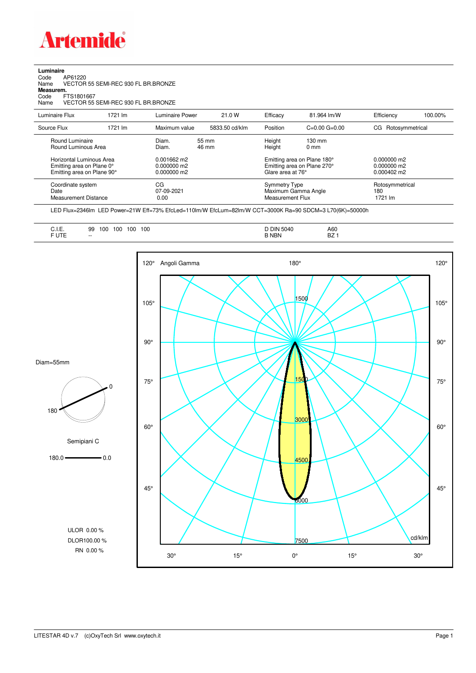

**Luminaire**<br>Code /<br>Name \ Code AP61220 Name VECTOR 55 SEMI-REC 930 FL BR.BRONZE **Measurem.** Code FTS1801667

Name VECTOR 55 SEMI-REC 930 FL BR.BRONZE

| Luminaire Flux                                                                      | 1721 Im | <b>Luminaire Power</b>                          | 21.0 W         | Efficacy                                                                        | 81.964 lm/W                        | Efficiency                                             | 100.00% |
|-------------------------------------------------------------------------------------|---------|-------------------------------------------------|----------------|---------------------------------------------------------------------------------|------------------------------------|--------------------------------------------------------|---------|
| Source Flux                                                                         | 1721 lm | Maximum value                                   | 5833.50 cd/klm | Position                                                                        | $C=0.00$ $G=0.00$                  | CG Rotosymmetrical                                     |         |
| Round Luminaire<br>Round Luminous Area                                              |         | Diam.<br>Diam.                                  | 55 mm<br>46 mm | Height<br>Height                                                                | $130 \text{ mm}$<br>$0 \text{ mm}$ |                                                        |         |
| Horizontal Luminous Area<br>Emitting area on Plane 0°<br>Emitting area on Plane 90° |         | $0.001662$ m2<br>$0.000000$ m2<br>$0.000000$ m2 |                | Emitting area on Plane 180°<br>Emitting area on Plane 270°<br>Glare area at 76° |                                    | $0.000000$ m2<br>$0.000000$ m2<br>$0.000402 \text{ m}$ |         |
| Coordinate system<br>Date<br><b>Measurement Distance</b>                            |         | CG<br>07-09-2021<br>0.00                        |                | <b>Symmetry Type</b><br>Maximum Gamma Angle<br>Measurement Flux                 |                                    | Rotosymmetrical<br>180<br>1721 lm                      |         |

LED Flux=2346lm LED Power=21W Eff=73% EfcLed=110lm/W EfcLum=82lm/W CCT=3000K Ra=90 SDCM=3 L70(6K)=50000h